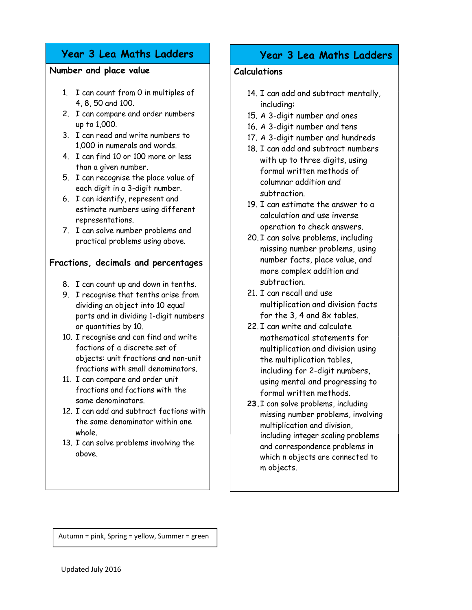# Year 3 Lea Maths Ladders

#### Number and place value

- 1. I can count from 0 in multiples of 4, 8, 50 and 100.
- 2. I can compare and order numbers up to 1,000.
- 3. I can read and write numbers to 1,000 in numerals and words.
- 4. I can find 10 or 100 more or less than a given number.
- 5. I can recognise the place value of each digit in a 3-digit number.
- 6. I can identify, represent and estimate numbers using different representations.
- 7. I can solve number problems and practical problems using above.

### Fractions, decimals and percentages

- 8. I can count up and down in tenths.
- 9. I recognise that tenths arise from dividing an object into 10 equal parts and in dividing 1-digit numbers or quantities by 10.
- 10. I recognise and can find and write factions of a discrete set of objects: unit fractions and non-unit fractions with small denominators.
- 11. I can compare and order unit fractions and factions with the same denominators.
- 12. I can add and subtract factions with the same denominator within one whole.
- 13. I can solve problems involving the above.

## Year 3 Lea Maths Ladders

#### Calculations

- 14. I can add and subtract mentally, including:
- 15. A 3-digit number and ones
- 16. A 3-digit number and tens
- 17. A 3-digit number and hundreds
- 18. I can add and subtract numbers with up to three digits, using formal written methods of columnar addition and subtraction.
- 19. I can estimate the answer to a calculation and use inverse operation to check answers.
- 20. I can solve problems, including missing number problems, using number facts, place value, and more complex addition and subtraction.
- 21. I can recall and use multiplication and division facts for the 3, 4 and 8x tables.
- 22. I can write and calculate mathematical statements for multiplication and division using the multiplication tables, including for 2-digit numbers, using mental and progressing to formal written methods.
- 23.I can solve problems, including missing number problems, involving multiplication and division, including integer scaling problems and correspondence problems in which n objects are connected to m objects.

Autumn = pink, Spring = yellow, Summer = green